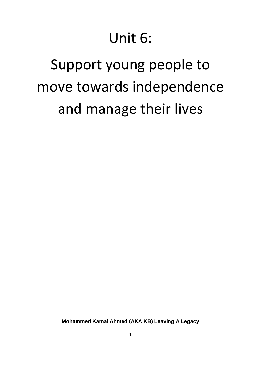# Unit 6:

# Support young people to move towards independence and manage their lives

**Mohammed Kamal Ahmed (AKA KB) Leaving A Legacy**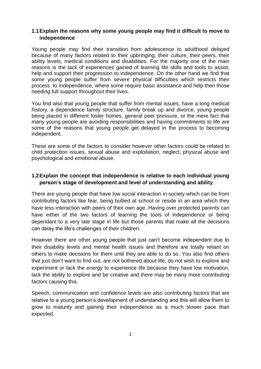#### **1.1Explain the reasons why some young people may find it difficult to move to independence**

Young people may find their transition from adolescence to adulthood delayed because of many factors related to their upbringing, their culture, their peers, their ability levels, medical conditions and disabilities. For the majority one of the main reasons is the lack of experiences gained of learning life skills and tools to assist, help and support their progression to independence. On the other hand we find that some young people suffer from severe physical difficulties which restricts their process to independence, where some require basic assistance and help then those needing full support throughout their lives.

You find also that young people that suffer from mental issues, have a long medical history, a dependence family structure, family break up and divorce, young people being placed in different foster homes, general peer pressure, or the mere fact that many young people are avoiding responsibilities and having commitments to life are some of the reasons that young people get delayed in the process to becoming independent.

These are some of the factors to consider however other factors could be related to child protection issues, sexual abuse and exploitation, neglect, physical abuse and psychological and emotional abuse.

#### **1.2Explain the concept that independence is relative to each individual young person's stage of development and level of understanding and ability**

There are young people that have low social interaction in society which can be from contributing factors like fear, being bullied at school or reside in an area which they have less interaction with peers of their own age. Having over protected parents can have either of the two factors of learning the tools of independence or being dependant to a very late stage in life but those parents that make all the decisions can delay the life's challenges of their children.

However there are other young people that just can't become independent due to their disability levels and mental health issues and therefore are totally reliant on others to make decisions for them until they are able to do so. You also find others that just don't want to find out, are not bothered about life, do not wish to explore and experiment or lack the energy to experience life because they have low motivation, lack the ability to explore and be creative and there may be many more contributing factors causing this.

Speech, communication and confidence levels are also contributing factors that are relative to a young person's development of understanding and this will allow them to grow to maturity and gaining their independence as a much slower pace than expected.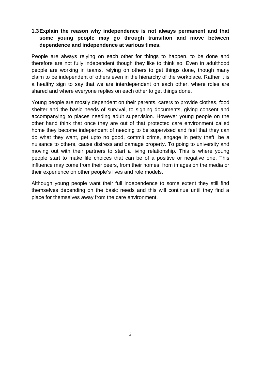# **1.3Explain the reason why independence is not always permanent and that some young people may go through transition and move between dependence and independence at various times.**

People are always relying on each other for things to happen, to be done and therefore are not fully independent though they like to think so. Even in adulthood people are working in teams, relying on others to get things done, though many claim to be independent of others even in the hierarchy of the workplace. Rather it is a healthy sign to say that we are interdependent on each other, where roles are shared and where everyone replies on each other to get things done.

Young people are mostly dependent on their parents, carers to provide clothes, food shelter and the basic needs of survival, to signing documents, giving consent and accompanying to places needing adult supervision. However young people on the other hand think that once they are out of that protected care environment called home they become independent of needing to be supervised and feel that they can do what they want, get upto no good, commit crime, engage in petty theft, be a nuisance to others, cause distress and damage property. To going to university and moving out with their partners to start a living relationship. This is where young people start to make life choices that can be of a positive or negative one. This influence may come from their peers, from their homes, from images on the media or their experience on other people's lives and role models.

Although young people want their full independence to some extent they still find themselves depending on the basic needs and this will continue until they find a place for themselves away from the care environment.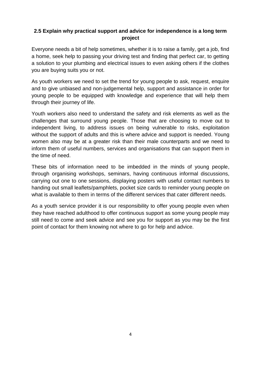## **2.5 Explain why practical support and advice for independence is a long term project**

Everyone needs a bit of help sometimes, whether it is to raise a family, get a job, find a home, seek help to passing your driving test and finding that perfect car, to getting a solution to your plumbing and electrical issues to even asking others if the clothes you are buying suits you or not.

As youth workers we need to set the trend for young people to ask, request, enquire and to give unbiased and non-judgemental help, support and assistance in order for young people to be equipped with knowledge and experience that will help them through their journey of life.

Youth workers also need to understand the safety and risk elements as well as the challenges that surround young people. Those that are choosing to move out to independent living, to address issues on being vulnerable to risks, exploitation without the support of adults and this is where advice and support is needed. Young women also may be at a greater risk than their male counterparts and we need to inform them of useful numbers, services and organisations that can support them in the time of need.

These bits of information need to be imbedded in the minds of young people, through organising workshops, seminars, having continuous informal discussions, carrying out one to one sessions, displaying posters with useful contact numbers to handing out small leaflets/pamphlets, pocket size cards to reminder young people on what is available to them in terms of the different services that cater different needs.

As a youth service provider it is our responsibility to offer young people even when they have reached adulthood to offer continuous support as some young people may still need to come and seek advice and see you for support as you may be the first point of contact for them knowing not where to go for help and advice.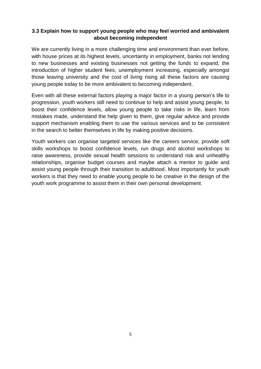### **3.3 Explain how to support young people who may feel worried and ambivalent about becoming independent**

We are currently living in a more challenging time and environment than ever before, with house prices at its highest levels, uncertainty in employment, banks not lending to new businesses and existing businesses not getting the funds to expand, the introduction of higher student fees, unemployment increasing, especially amongst those leaving university and the cost of living rising all these factors are causing young people today to be more ambivalent to becoming independent.

Even with all these external factors playing a major factor in a young person's life to progression, youth workers still need to continue to help and assist young people, to boost their confidence levels, allow young people to take risks in life, learn from mistakes made, understand the help given to them, give regular advice and provide support mechanism enabling them to use the various services and to be consistent in the search to better themselves in life by making positive decisions.

Youth workers can organise targeted services like the careers service, provide soft skills workshops to boost confidence levels, run drugs and alcohol workshops to raise awareness, provide sexual health sessions to understand risk and unhealthy relationships, organise budget courses and maybe attach a mentor to guide and assist young people through their transition to adulthood. Most importantly for youth workers is that they need to enable young people to be creative in the design of the youth work programme to assist them in their own personal development.